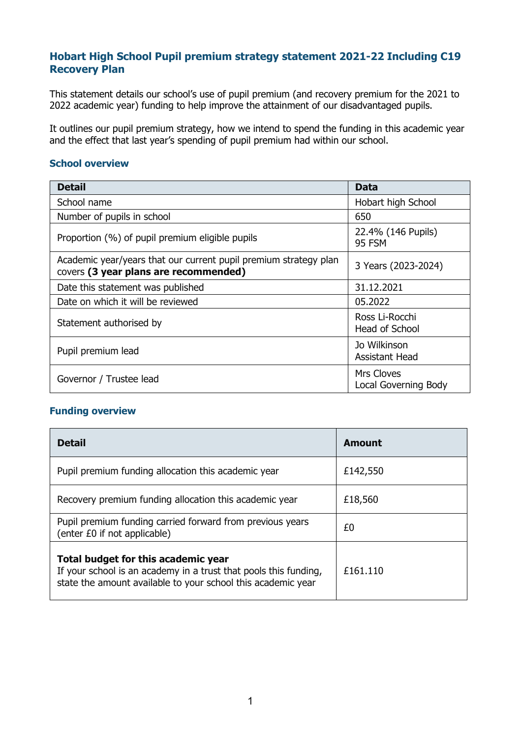# **Hobart High School Pupil premium strategy statement 2021-22 Including C19 Recovery Plan**

This statement details our school's use of pupil premium (and recovery premium for the 2021 to 2022 academic year) funding to help improve the attainment of our disadvantaged pupils.

It outlines our pupil premium strategy, how we intend to spend the funding in this academic year and the effect that last year's spending of pupil premium had within our school.

#### **School overview**

| <b>Detail</b>                                                                                             | Data                                             |
|-----------------------------------------------------------------------------------------------------------|--------------------------------------------------|
| School name                                                                                               | Hobart high School                               |
| Number of pupils in school                                                                                | 650                                              |
| Proportion (%) of pupil premium eligible pupils                                                           | 22.4% (146 Pupils)<br><b>95 FSM</b>              |
| Academic year/years that our current pupil premium strategy plan<br>covers (3 year plans are recommended) | 3 Years (2023-2024)                              |
| Date this statement was published                                                                         | 31.12.2021                                       |
| Date on which it will be reviewed                                                                         | 05.2022                                          |
| Statement authorised by                                                                                   | Ross Li-Rocchi<br>Head of School                 |
| Pupil premium lead                                                                                        | Jo Wilkinson<br>Assistant Head                   |
| Governor / Trustee lead                                                                                   | <b>Mrs Cloves</b><br><b>Local Governing Body</b> |

## **Funding overview**

| <b>Detail</b>                                                                                                                                                           | Amount   |
|-------------------------------------------------------------------------------------------------------------------------------------------------------------------------|----------|
| Pupil premium funding allocation this academic year                                                                                                                     | £142,550 |
| Recovery premium funding allocation this academic year                                                                                                                  | £18,560  |
| Pupil premium funding carried forward from previous years<br>(enter £0 if not applicable)                                                                               | £0       |
| Total budget for this academic year<br>If your school is an academy in a trust that pools this funding,<br>state the amount available to your school this academic year | £161.110 |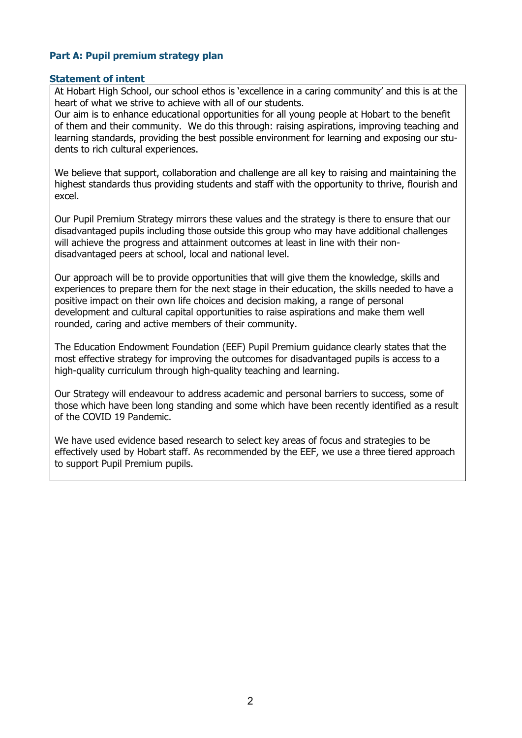## **Part A: Pupil premium strategy plan**

#### **Statement of intent**

At Hobart High School, our school ethos is 'excellence in a caring community' and this is at the heart of what we strive to achieve with all of our students.

Our aim is to enhance educational opportunities for all young people at Hobart to the benefit of them and their community. We do this through: raising aspirations, improving teaching and learning standards, providing the best possible environment for learning and exposing our students to rich cultural experiences.

We believe that support, collaboration and challenge are all key to raising and maintaining the highest standards thus providing students and staff with the opportunity to thrive, flourish and excel.

Our Pupil Premium Strategy mirrors these values and the strategy is there to ensure that our disadvantaged pupils including those outside this group who may have additional challenges will achieve the progress and attainment outcomes at least in line with their nondisadvantaged peers at school, local and national level.

Our approach will be to provide opportunities that will give them the knowledge, skills and experiences to prepare them for the next stage in their education, the skills needed to have a positive impact on their own life choices and decision making, a range of personal development and cultural capital opportunities to raise aspirations and make them well rounded, caring and active members of their community.

The Education Endowment Foundation (EEF) Pupil Premium guidance clearly states that the most effective strategy for improving the outcomes for disadvantaged pupils is access to a high-quality curriculum through high-quality teaching and learning.

Our Strategy will endeavour to address academic and personal barriers to success, some of those which have been long standing and some which have been recently identified as a result of the COVID 19 Pandemic.

We have used evidence based research to select key areas of focus and strategies to be effectively used by Hobart staff. As recommended by the EEF, we use a three tiered approach to support Pupil Premium pupils.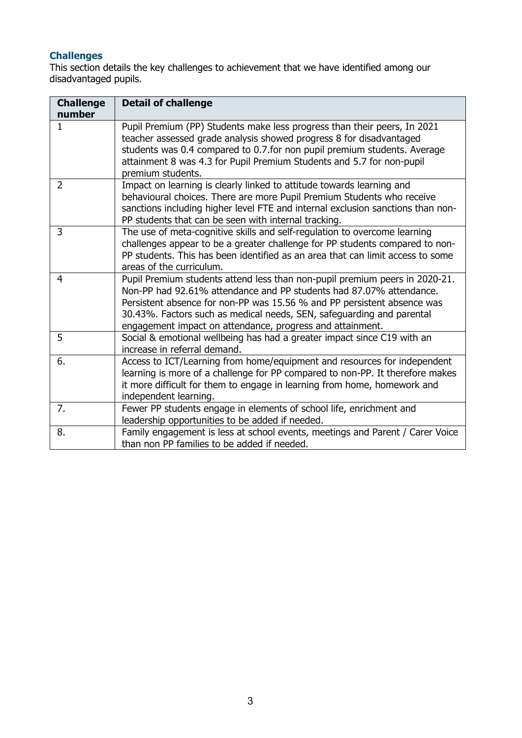### **Challenges**

This section details the key challenges to achievement that we have identified among our disadvantaged pupils.

| <b>Challenge</b><br>number | <b>Detail of challenge</b>                                                                                                                                                                                                                                                                                                                                          |
|----------------------------|---------------------------------------------------------------------------------------------------------------------------------------------------------------------------------------------------------------------------------------------------------------------------------------------------------------------------------------------------------------------|
| $\mathbf{1}$               | Pupil Premium (PP) Students make less progress than their peers, In 2021<br>teacher assessed grade analysis showed progress 8 for disadvantaged<br>students was 0.4 compared to 0.7 for non pupil premium students. Average<br>attainment 8 was 4.3 for Pupil Premium Students and 5.7 for non-pupil<br>premium students.                                           |
| $\overline{2}$             | Impact on learning is clearly linked to attitude towards learning and<br>behavioural choices. There are more Pupil Premium Students who receive<br>sanctions including higher level FTE and internal exclusion sanctions than non-<br>PP students that can be seen with internal tracking.                                                                          |
| 3                          | The use of meta-cognitive skills and self-regulation to overcome learning<br>challenges appear to be a greater challenge for PP students compared to non-<br>PP students. This has been identified as an area that can limit access to some<br>areas of the curriculum.                                                                                             |
| $\overline{4}$             | Pupil Premium students attend less than non-pupil premium peers in 2020-21.<br>Non-PP had 92.61% attendance and PP students had 87.07% attendance.<br>Persistent absence for non-PP was 15.56 % and PP persistent absence was<br>30.43%. Factors such as medical needs, SEN, safeguarding and parental<br>engagement impact on attendance, progress and attainment. |
| 5                          | Social & emotional wellbeing has had a greater impact since C19 with an<br>increase in referral demand.                                                                                                                                                                                                                                                             |
| 6.                         | Access to ICT/Learning from home/equipment and resources for independent<br>learning is more of a challenge for PP compared to non-PP. It therefore makes<br>it more difficult for them to engage in learning from home, homework and<br>independent learning.                                                                                                      |
| 7.                         | Fewer PP students engage in elements of school life, enrichment and<br>leadership opportunities to be added if needed.                                                                                                                                                                                                                                              |
| 8.                         | Family engagement is less at school events, meetings and Parent / Carer Voice<br>than non PP families to be added if needed.                                                                                                                                                                                                                                        |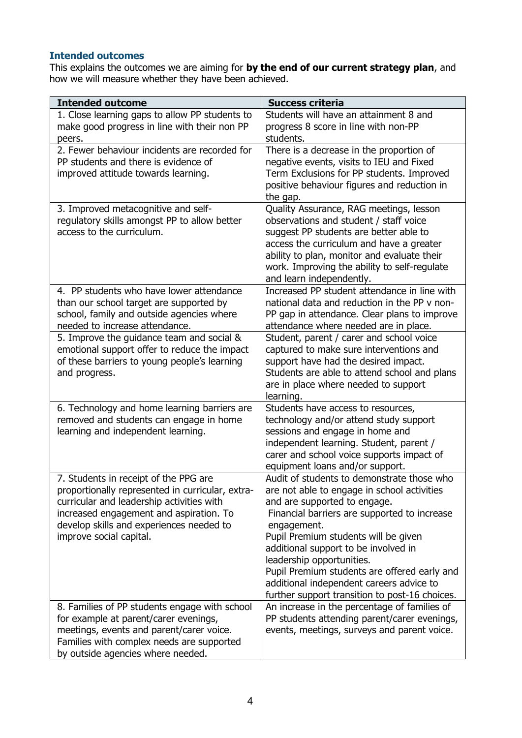## **Intended outcomes**

This explains the outcomes we are aiming for **by the end of our current strategy plan**, and how we will measure whether they have been achieved.

| <b>Intended outcome</b>                                                                                                                                                                                                                                  | <b>Success criteria</b>                                                                                                                                                                                                                                                                                                                                                                                                                             |
|----------------------------------------------------------------------------------------------------------------------------------------------------------------------------------------------------------------------------------------------------------|-----------------------------------------------------------------------------------------------------------------------------------------------------------------------------------------------------------------------------------------------------------------------------------------------------------------------------------------------------------------------------------------------------------------------------------------------------|
| 1. Close learning gaps to allow PP students to<br>make good progress in line with their non PP                                                                                                                                                           | Students will have an attainment 8 and<br>progress 8 score in line with non-PP                                                                                                                                                                                                                                                                                                                                                                      |
| peers.                                                                                                                                                                                                                                                   | students.                                                                                                                                                                                                                                                                                                                                                                                                                                           |
| 2. Fewer behaviour incidents are recorded for<br>PP students and there is evidence of<br>improved attitude towards learning.                                                                                                                             | There is a decrease in the proportion of<br>negative events, visits to IEU and Fixed<br>Term Exclusions for PP students. Improved<br>positive behaviour figures and reduction in<br>the gap.                                                                                                                                                                                                                                                        |
| 3. Improved metacognitive and self-<br>regulatory skills amongst PP to allow better<br>access to the curriculum.                                                                                                                                         | Quality Assurance, RAG meetings, lesson<br>observations and student / staff voice<br>suggest PP students are better able to<br>access the curriculum and have a greater<br>ability to plan, monitor and evaluate their<br>work. Improving the ability to self-regulate<br>and learn independently.                                                                                                                                                  |
| 4. PP students who have lower attendance<br>than our school target are supported by<br>school, family and outside agencies where<br>needed to increase attendance.                                                                                       | Increased PP student attendance in line with<br>national data and reduction in the PP v non-<br>PP gap in attendance. Clear plans to improve<br>attendance where needed are in place.                                                                                                                                                                                                                                                               |
| 5. Improve the guidance team and social &<br>emotional support offer to reduce the impact<br>of these barriers to young people's learning<br>and progress.                                                                                               | Student, parent / carer and school voice<br>captured to make sure interventions and<br>support have had the desired impact.<br>Students are able to attend school and plans<br>are in place where needed to support<br>learning.                                                                                                                                                                                                                    |
| 6. Technology and home learning barriers are<br>removed and students can engage in home<br>learning and independent learning.                                                                                                                            | Students have access to resources,<br>technology and/or attend study support<br>sessions and engage in home and<br>independent learning. Student, parent /<br>carer and school voice supports impact of<br>equipment loans and/or support.                                                                                                                                                                                                          |
| 7. Students in receipt of the PPG are<br>proportionally represented in curricular, extra-<br>curricular and leadership activities with<br>increased engagement and aspiration. To<br>develop skills and experiences needed to<br>improve social capital. | Audit of students to demonstrate those who<br>are not able to engage in school activities<br>and are supported to engage.<br>Financial barriers are supported to increase<br>engagement.<br>Pupil Premium students will be given<br>additional support to be involved in<br>leadership opportunities.<br>Pupil Premium students are offered early and<br>additional independent careers advice to<br>further support transition to post-16 choices. |
| 8. Families of PP students engage with school<br>for example at parent/carer evenings,<br>meetings, events and parent/carer voice.<br>Families with complex needs are supported<br>by outside agencies where needed.                                     | An increase in the percentage of families of<br>PP students attending parent/carer evenings,<br>events, meetings, surveys and parent voice.                                                                                                                                                                                                                                                                                                         |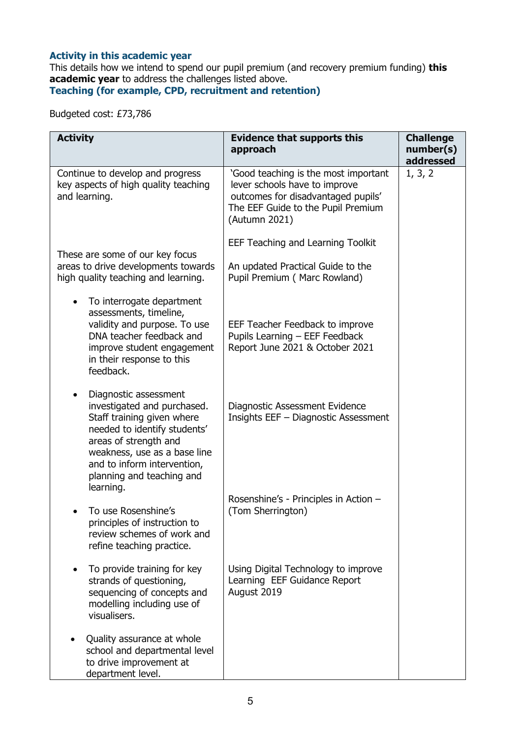### **Activity in this academic year**

This details how we intend to spend our pupil premium (and recovery premium funding) **this academic year** to address the challenges listed above.

**Teaching (for example, CPD, recruitment and retention)**

Budgeted cost: £73,786

| <b>Activity</b>                                                                                                                                                                                                                                                   | <b>Evidence that supports this</b><br>approach                                                                                                                     | <b>Challenge</b><br>number(s)<br>addressed |
|-------------------------------------------------------------------------------------------------------------------------------------------------------------------------------------------------------------------------------------------------------------------|--------------------------------------------------------------------------------------------------------------------------------------------------------------------|--------------------------------------------|
| Continue to develop and progress<br>key aspects of high quality teaching<br>and learning.                                                                                                                                                                         | 'Good teaching is the most important<br>lever schools have to improve<br>outcomes for disadvantaged pupils'<br>The EEF Guide to the Pupil Premium<br>(Autumn 2021) | 1, 3, 2                                    |
| These are some of our key focus                                                                                                                                                                                                                                   | EEF Teaching and Learning Toolkit                                                                                                                                  |                                            |
| areas to drive developments towards<br>high quality teaching and learning.                                                                                                                                                                                        | An updated Practical Guide to the<br>Pupil Premium (Marc Rowland)                                                                                                  |                                            |
| To interrogate department<br>$\bullet$<br>assessments, timeline,<br>validity and purpose. To use<br>DNA teacher feedback and<br>improve student engagement<br>in their response to this<br>feedback.                                                              | EEF Teacher Feedback to improve<br>Pupils Learning - EEF Feedback<br>Report June 2021 & October 2021                                                               |                                            |
| Diagnostic assessment<br>$\bullet$<br>investigated and purchased.<br>Staff training given where<br>needed to identify students'<br>areas of strength and<br>weakness, use as a base line<br>and to inform intervention,<br>planning and teaching and<br>learning. | Diagnostic Assessment Evidence<br>Insights EEF - Diagnostic Assessment                                                                                             |                                            |
| To use Rosenshine's<br>principles of instruction to<br>review schemes of work and<br>refine teaching practice.                                                                                                                                                    | Rosenshine's - Principles in Action -<br>(Tom Sherrington)                                                                                                         |                                            |
| To provide training for key<br>$\bullet$<br>strands of questioning,<br>sequencing of concepts and<br>modelling including use of<br>visualisers.                                                                                                                   | Using Digital Technology to improve<br>Learning EEF Guidance Report<br>August 2019                                                                                 |                                            |
| Quality assurance at whole<br>school and departmental level<br>to drive improvement at<br>department level.                                                                                                                                                       |                                                                                                                                                                    |                                            |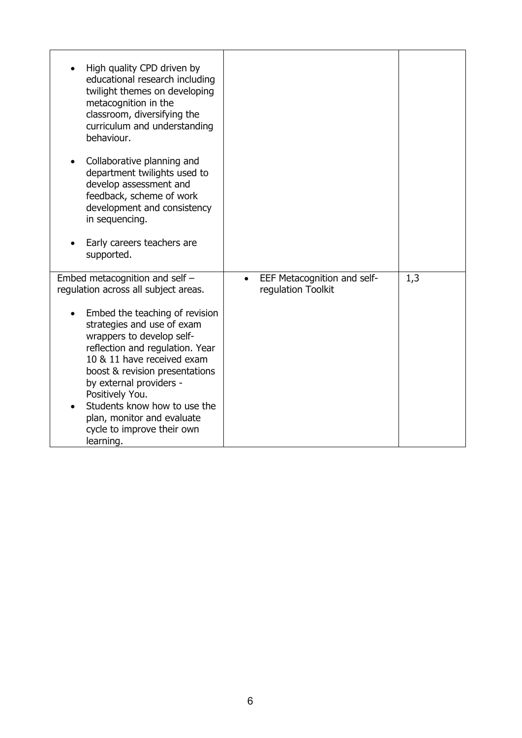| High quality CPD driven by<br>educational research including<br>twilight themes on developing<br>metacognition in the<br>classroom, diversifying the<br>curriculum and understanding<br>behaviour.<br>Collaborative planning and<br>department twilights used to                                                                       |                                                   |     |
|----------------------------------------------------------------------------------------------------------------------------------------------------------------------------------------------------------------------------------------------------------------------------------------------------------------------------------------|---------------------------------------------------|-----|
| develop assessment and<br>feedback, scheme of work<br>development and consistency<br>in sequencing.                                                                                                                                                                                                                                    |                                                   |     |
| Early careers teachers are<br>supported.                                                                                                                                                                                                                                                                                               |                                                   |     |
| Embed metacognition and self -<br>regulation across all subject areas.                                                                                                                                                                                                                                                                 | EEF Metacognition and self-<br>regulation Toolkit | 1,3 |
| Embed the teaching of revision<br>strategies and use of exam<br>wrappers to develop self-<br>reflection and regulation. Year<br>10 & 11 have received exam<br>boost & revision presentations<br>by external providers -<br>Positively You.<br>Students know how to use the<br>plan, monitor and evaluate<br>cycle to improve their own |                                                   |     |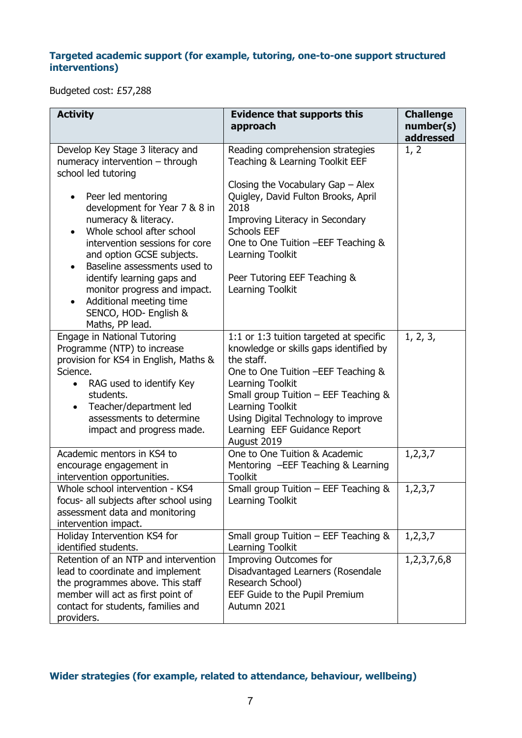## **Targeted academic support (for example, tutoring, one-to-one support structured interventions)**

Budgeted cost: £57,288

| <b>Activity</b>                                                                                                                                                                                                                                                                                                                                                                                                                                                        | <b>Evidence that supports this</b><br>approach                                                                                                                                                                                                                                                                                    | <b>Challenge</b><br>number(s)<br>addressed |
|------------------------------------------------------------------------------------------------------------------------------------------------------------------------------------------------------------------------------------------------------------------------------------------------------------------------------------------------------------------------------------------------------------------------------------------------------------------------|-----------------------------------------------------------------------------------------------------------------------------------------------------------------------------------------------------------------------------------------------------------------------------------------------------------------------------------|--------------------------------------------|
| Develop Key Stage 3 literacy and<br>numeracy intervention $-$ through<br>school led tutoring<br>Peer led mentoring<br>development for Year 7 & 8 in<br>numeracy & literacy.<br>Whole school after school<br>intervention sessions for core<br>and option GCSE subjects.<br>Baseline assessments used to<br>$\bullet$<br>identify learning gaps and<br>monitor progress and impact.<br>Additional meeting time<br>$\bullet$<br>SENCO, HOD- English &<br>Maths, PP lead. | Reading comprehension strategies<br>Teaching & Learning Toolkit EEF<br>Closing the Vocabulary Gap $-$ Alex<br>Quigley, David Fulton Brooks, April<br>2018<br>Improving Literacy in Secondary<br><b>Schools EEF</b><br>One to One Tuition - EEF Teaching &<br>Learning Toolkit<br>Peer Tutoring EEF Teaching &<br>Learning Toolkit | 1, 2                                       |
| Engage in National Tutoring<br>Programme (NTP) to increase<br>provision for KS4 in English, Maths &<br>Science.<br>RAG used to identify Key<br>students.<br>Teacher/department led<br>assessments to determine<br>impact and progress made.                                                                                                                                                                                                                            | 1:1 or 1:3 tuition targeted at specific<br>knowledge or skills gaps identified by<br>the staff.<br>One to One Tuition - EEF Teaching &<br>Learning Toolkit<br>Small group Tuition - EEF Teaching &<br>Learning Toolkit<br>Using Digital Technology to improve<br>Learning EEF Guidance Report<br>August 2019                      | 1, 2, 3,                                   |
| Academic mentors in KS4 to<br>encourage engagement in<br>intervention opportunities.                                                                                                                                                                                                                                                                                                                                                                                   | One to One Tuition & Academic<br>Mentoring -EEF Teaching & Learning<br><b>Toolkit</b>                                                                                                                                                                                                                                             | 1, 2, 3, 7                                 |
| Whole school intervention - KS4<br>focus- all subjects after school using<br>assessment data and monitoring<br>intervention impact.                                                                                                                                                                                                                                                                                                                                    | Small group Tuition - EEF Teaching &<br>Learning Toolkit                                                                                                                                                                                                                                                                          | 1, 2, 3, 7                                 |
| Holiday Intervention KS4 for<br>identified students.                                                                                                                                                                                                                                                                                                                                                                                                                   | Small group Tuition - EEF Teaching &<br>Learning Toolkit                                                                                                                                                                                                                                                                          | 1, 2, 3, 7                                 |
| Retention of an NTP and intervention<br>lead to coordinate and implement<br>the programmes above. This staff<br>member will act as first point of<br>contact for students, families and<br>providers.                                                                                                                                                                                                                                                                  | <b>Improving Outcomes for</b><br>Disadvantaged Learners (Rosendale<br>Research School)<br>EEF Guide to the Pupil Premium<br>Autumn 2021                                                                                                                                                                                           | 1, 2, 3, 7, 6, 8                           |

# **Wider strategies (for example, related to attendance, behaviour, wellbeing)**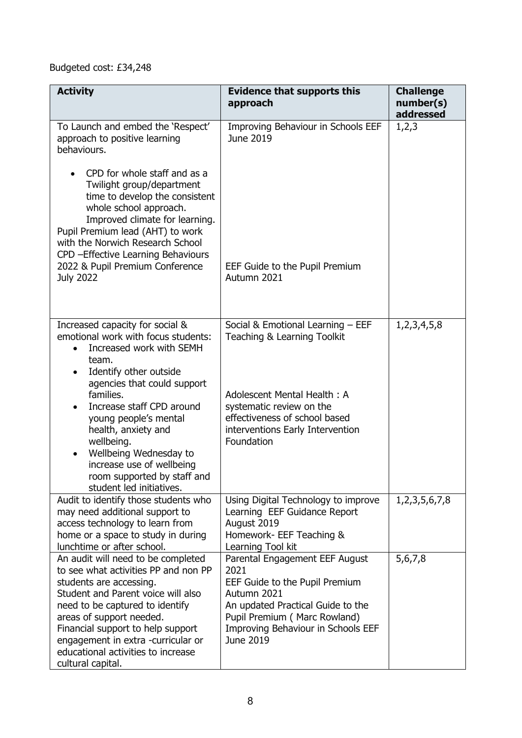# Budgeted cost: £34,248

| <b>Activity</b>                                                                                                                                                                                                                                                                                                                                  | <b>Evidence that supports this</b><br>approach                                                                                                                                                                  | <b>Challenge</b><br>number(s)<br>addressed |
|--------------------------------------------------------------------------------------------------------------------------------------------------------------------------------------------------------------------------------------------------------------------------------------------------------------------------------------------------|-----------------------------------------------------------------------------------------------------------------------------------------------------------------------------------------------------------------|--------------------------------------------|
| To Launch and embed the 'Respect'<br>approach to positive learning<br>behaviours.                                                                                                                                                                                                                                                                | Improving Behaviour in Schools EEF<br>June 2019                                                                                                                                                                 | 1,2,3                                      |
| CPD for whole staff and as a<br>Twilight group/department<br>time to develop the consistent<br>whole school approach.<br>Improved climate for learning.<br>Pupil Premium lead (AHT) to work<br>with the Norwich Research School<br>CPD - Effective Learning Behaviours<br>2022 & Pupil Premium Conference<br><b>July 2022</b>                    | EEF Guide to the Pupil Premium<br>Autumn 2021                                                                                                                                                                   |                                            |
| Increased capacity for social &<br>emotional work with focus students:<br>Increased work with SEMH<br>team.<br>Identify other outside<br>$\bullet$<br>agencies that could support<br>families.<br>Increase staff CPD around<br>young people's mental                                                                                             | Social & Emotional Learning - EEF<br>Teaching & Learning Toolkit<br>Adolescent Mental Health: A<br>systematic review on the<br>effectiveness of school based                                                    | 1, 2, 3, 4, 5, 8                           |
| health, anxiety and<br>wellbeing.<br>Wellbeing Wednesday to<br>$\bullet$<br>increase use of wellbeing<br>room supported by staff and<br>student led initiatives.                                                                                                                                                                                 | interventions Early Intervention<br>Foundation                                                                                                                                                                  |                                            |
| Audit to identify those students who<br>may need additional support to<br>access technology to learn from<br>home or a space to study in during<br>lunchtime or after school.                                                                                                                                                                    | Using Digital Technology to improve<br>Learning EEF Guidance Report<br>August 2019<br>Homework- EEF Teaching &<br>Learning Tool kit                                                                             | 1, 2, 3, 5, 6, 7, 8                        |
| An audit will need to be completed<br>to see what activities PP and non PP<br>students are accessing.<br>Student and Parent voice will also<br>need to be captured to identify<br>areas of support needed.<br>Financial support to help support<br>engagement in extra -curricular or<br>educational activities to increase<br>cultural capital. | Parental Engagement EEF August<br>2021<br>EEF Guide to the Pupil Premium<br>Autumn 2021<br>An updated Practical Guide to the<br>Pupil Premium (Marc Rowland)<br>Improving Behaviour in Schools EEF<br>June 2019 | 5,6,7,8                                    |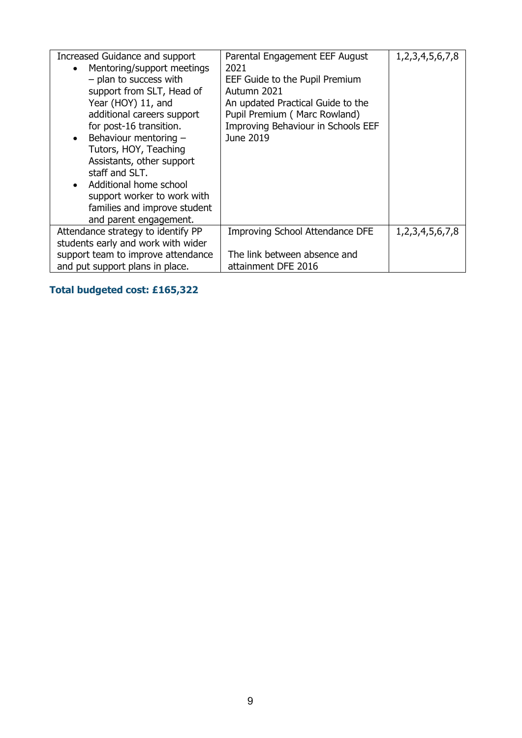| Increased Guidance and support<br>Mentoring/support meetings<br>$\bullet$<br>- plan to success with<br>support from SLT, Head of<br>Year (HOY) 11, and<br>additional careers support<br>for post-16 transition.<br>Behaviour mentoring -<br>$\bullet$<br>Tutors, HOY, Teaching<br>Assistants, other support<br>staff and SLT.<br>Additional home school<br>$\bullet$<br>support worker to work with<br>families and improve student<br>and parent engagement. | Parental Engagement EEF August<br>2021<br>EEF Guide to the Pupil Premium<br>Autumn 2021<br>An updated Practical Guide to the<br>Pupil Premium (Marc Rowland)<br>Improving Behaviour in Schools EEF<br>June 2019 | 1, 2, 3, 4, 5, 6, 7, 8 |
|---------------------------------------------------------------------------------------------------------------------------------------------------------------------------------------------------------------------------------------------------------------------------------------------------------------------------------------------------------------------------------------------------------------------------------------------------------------|-----------------------------------------------------------------------------------------------------------------------------------------------------------------------------------------------------------------|------------------------|
| Attendance strategy to identify PP                                                                                                                                                                                                                                                                                                                                                                                                                            | <b>Improving School Attendance DFE</b>                                                                                                                                                                          | 1, 2, 3, 4, 5, 6, 7, 8 |
| students early and work with wider                                                                                                                                                                                                                                                                                                                                                                                                                            |                                                                                                                                                                                                                 |                        |
| support team to improve attendance                                                                                                                                                                                                                                                                                                                                                                                                                            | The link between absence and                                                                                                                                                                                    |                        |
| and put support plans in place.                                                                                                                                                                                                                                                                                                                                                                                                                               | attainment DFE 2016                                                                                                                                                                                             |                        |

# **Total budgeted cost: £165,322**